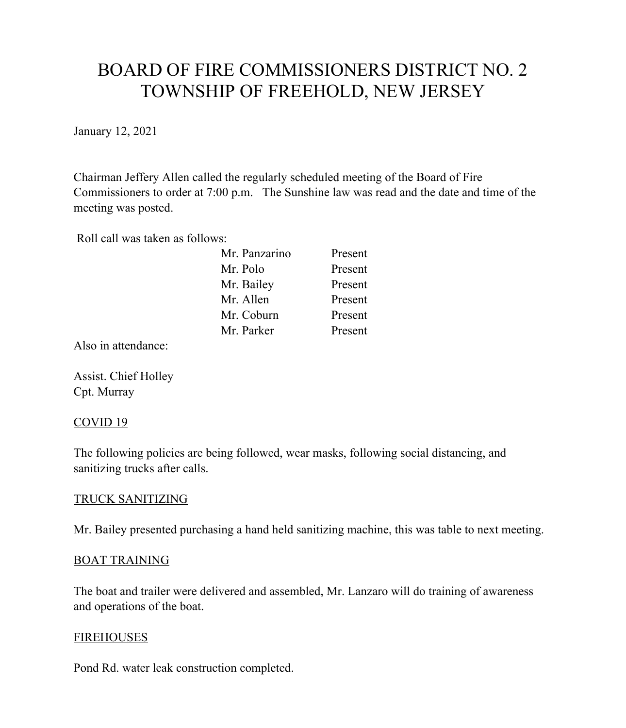# BOARD OF FIRE COMMISSIONERS DISTRICT NO. 2 TOWNSHIP OF FREEHOLD, NEW JERSEY

January 12, 2021

Chairman Jeffery Allen called the regularly scheduled meeting of the Board of Fire Commissioners to order at 7:00 p.m. The Sunshine law was read and the date and time of the meeting was posted.

Roll call was taken as follows:

| Mr. Panzarino | Present |
|---------------|---------|
| Mr. Polo      | Present |
| Mr. Bailey    | Present |
| Mr. Allen     | Present |
| Mr. Coburn    | Present |
| Mr. Parker    | Present |

Also in attendance:

Assist. Chief Holley Cpt. Murray

## COVID 19

The following policies are being followed, wear masks, following social distancing, and sanitizing trucks after calls.

## TRUCK SANITIZING

Mr. Bailey presented purchasing a hand held sanitizing machine, this was table to next meeting.

#### BOAT TRAINING

The boat and trailer were delivered and assembled, Mr. Lanzaro will do training of awareness and operations of the boat.

#### **FIREHOUSES**

Pond Rd. water leak construction completed.